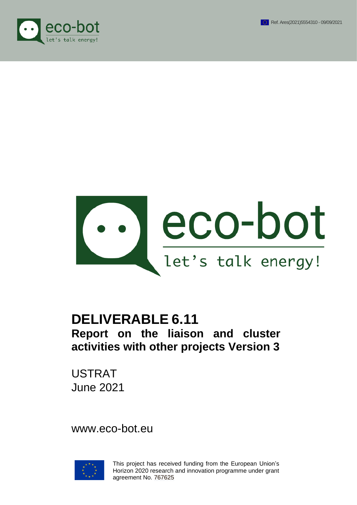





# **DELIVERABLE 6.11 Report on the liaison and cluster activities with other projects Version 3**

USTRAT June 2021

www.eco-bot.eu



This project has received funding from the European Union's Horizon 2020 research and innovation programme under grant agreement No. 767625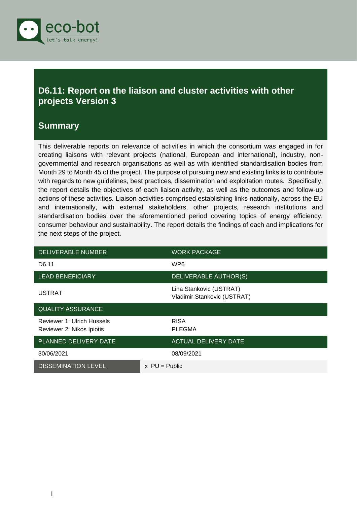

### <span id="page-1-0"></span>**D6.11: Report on the liaison and cluster activities with other projects Version 3**

#### <span id="page-1-1"></span>**Summary**

This deliverable reports on relevance of activities in which the consortium was engaged in for creating liaisons with relevant projects (national, European and international), industry, nongovernmental and research organisations as well as with identified standardisation bodies from Month 29 to Month 45 of the project. The purpose of pursuing new and existing links is to contribute with regards to new guidelines, best practices, dissemination and exploitation routes. Specifically, the report details the objectives of each liaison activity, as well as the outcomes and follow-up actions of these activities. Liaison activities comprised establishing links nationally, across the EU and internationally, with external stakeholders, other projects, research institutions and standardisation bodies over the aforementioned period covering topics of energy efficiency, consumer behaviour and sustainability. The report details the findings of each and implications for the next steps of the project.

| DELIVERABLE NUMBER                                      | <b>WORK PACKAGE</b>                                    |
|---------------------------------------------------------|--------------------------------------------------------|
| D6.11                                                   | WP <sub>6</sub>                                        |
| <b>LEAD BENEFICIARY</b>                                 | DELIVERABLE AUTHOR(S)                                  |
| <b>USTRAT</b>                                           | Lina Stankovic (USTRAT)<br>Vladimir Stankovic (USTRAT) |
| <b>QUALITY ASSURANCE</b>                                |                                                        |
| Reviewer 1: Ulrich Hussels<br>Reviewer 2: Nikos Ipiotis | <b>RISA</b><br><b>PLEGMA</b>                           |
| PLANNED DELIVERY DATE                                   | <b>ACTUAL DELIVERY DATE</b>                            |
| 30/06/2021                                              | 08/09/2021                                             |
| <b>DISSEMINATION LEVEL</b>                              | $x$ PU = Public                                        |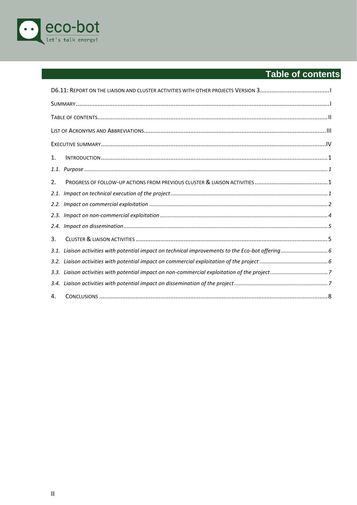

# <span id="page-2-0"></span>Table of contents

| 1.   |  |
|------|--|
| 1.1. |  |
| 2.   |  |
| 2.1. |  |
|      |  |
|      |  |
| 2.4. |  |
| 3.   |  |
| 3.1. |  |
|      |  |
| 3.3. |  |
| 3.4. |  |
| 4.   |  |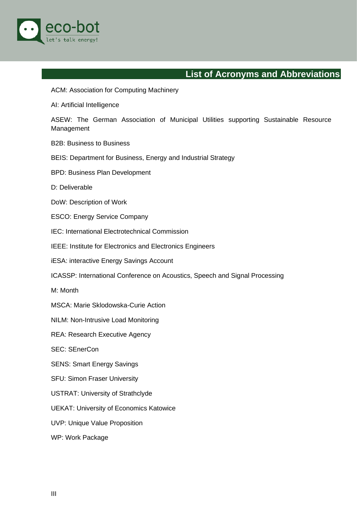

## **List of Acronyms and Abbreviations**

#### <span id="page-3-0"></span>ACM: Association for Computing Machinery

AI: Artificial Intelligence

ASEW: The German Association of Municipal Utilities supporting Sustainable Resource Management

B2B: Business to Business

BEIS: Department for Business, Energy and Industrial Strategy

BPD: Business Plan Development

D: Deliverable

- DoW: Description of Work
- ESCO: Energy Service Company

IEC: International Electrotechnical Commission

IEEE: Institute for Electronics and Electronics Engineers

iESA: interactive Energy Savings Account

ICASSP: International Conference on Acoustics, Speech and Signal Processing

M: Month

MSCA: Marie Sklodowska-Curie Action

NILM: Non-Intrusive Load Monitoring

REA: Research Executive Agency

SEC: SEnerCon

SENS: Smart Energy Savings

SFU: Simon Fraser University

USTRAT: University of Strathclyde

UEKAT: University of Economics Katowice

UVP: Unique Value Proposition

WP: Work Package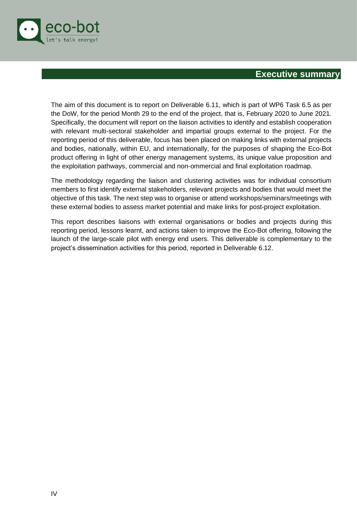

#### <span id="page-4-0"></span>**Executive summary**

The aim of this document is to report on Deliverable 6.11, which is part of WP6 Task 6.5 as per the DoW, for the period Month 29 to the end of the project, that is, February 2020 to June 2021. Specifically, the document will report on the liaison activities to identify and establish cooperation with relevant multi-sectoral stakeholder and impartial groups external to the project. For the reporting period of this deliverable, focus has been placed on making links with external projects and bodies, nationally, within EU, and internationally, for the purposes of shaping the Eco-Bot product offering in light of other energy management systems, its unique value proposition and the exploitation pathways, commercial and non-ommercial and final exploitation roadmap.

The methodology regarding the liaison and clustering activities was for individual consortium members to first identify external stakeholders, relevant projects and bodies that would meet the objective of this task. The next step was to organise or attend workshops/seminars/meetings with these external bodies to assess market potential and make links for post-project exploitation.

This report describes liaisons with external organisations or bodies and projects during this reporting period, lessons learnt, and actions taken to improve the Eco-Bot offering, following the launch of the large-scale pilot with energy end users. This deliverable is complementary to the project's dissemination activities for this period, reported in Deliverable 6.12.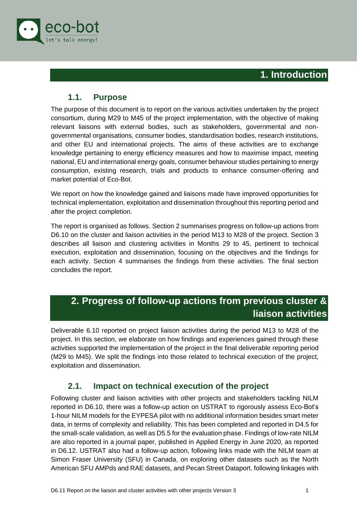

#### **1. Introduction**

#### <span id="page-5-0"></span>**1.1. Purpose**

<span id="page-5-1"></span>The purpose of this document is to report on the various activities undertaken by the project consortium, during M29 to M45 of the project implementation, with the objective of making relevant liaisons with external bodies, such as stakeholders, governmental and nongovernmental organisations, consumer bodies, standardisation bodies, research institutions, and other EU and international projects. The aims of these activities are to exchange knowledge pertaining to energy efficiency measures and how to maximise impact, meeting national, EU and international energy goals, consumer behaviour studies pertaining to energy consumption, existing research, trials and products to enhance consumer-offering and market potential of Eco-Bot.

We report on how the knowledge gained and liaisons made have improved opportunities for technical implementation, exploitation and dissemination throughout this reporting period and after the project completion.

The report is organised as follows. Section 2 summarises progress on follow-up actions from D6.10 on the cluster and liaison activities in the period M13 to M28 of the project. Section 3 describes all liaison and clustering activities in Months 29 to 45, pertinent to technical execution, exploitation and dissemination, focusing on the objectives and the findings for each activity. Section 4 summarises the findings from these activities. The final section concludes the report.

## <span id="page-5-2"></span>**2. Progress of follow-up actions from previous cluster & liaison activities**

Deliverable 6.10 reported on project liaison activities during the period M13 to M28 of the project. In this section, we elaborate on how findings and experiences gained through these activities supported the implementation of the project in the final deliverable reporting period (M29 to M45). We split the findings into those related to technical execution of the project, exploitation and dissemination.

#### **2.1. Impact on technical execution of the project**

<span id="page-5-3"></span>Following cluster and liaison activities with other projects and stakeholders tackling NILM reported in D6.10, there was a follow-up action on USTRAT to rigorously assess Eco-Bot's 1-hour NILM models for the EYPESA pilot with no additional information besides smart meter data, in terms of complexity and reliability. This has been completed and reported in D4.5 for the small-scale validation, as well as D5.5 for the evaluation phase. Findings of low-rate NILM are also reported in a journal paper, published in Applied Energy in June 2020, as reported in D6.12. USTRAT also had a follow-up action, following links made with the NILM team at Simon Fraser University (SFU) in Canada, on exploring other datasets such as the North American SFU AMPds and RAE datasets, and Pecan Street Dataport, following linkages with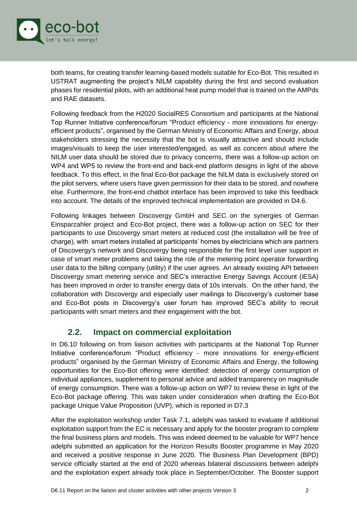

both teams, for creating transfer learning-based models suitable for Eco-Bot. This resulted in USTRAT augmenting the project's NILM capability during the first and second evaluation phases for residential pilots, with an additional heat pump model that is trained on the AMPds and RAE datasets.

Following feedback from the H2020 SocialRES Consortium and participants at the National Top Runner Initiative conference/forum "Product efficiency - more innovations for energyefficient products", organised by the German Ministry of Economic Affairs and Energy, about stakeholders stressing the necessity that the bot is visually attractive and should include images/visuals to keep the user interested/engaged, as well as concern about where the NILM user data should be stored due to privacy concerns, there was a follow-up action on WP4 and WP5 to review the front-end and back-end platform designs in light of the above feedback. To this effect, in the final Eco-Bot package the NILM data is exclusively stored on the pilot servers, where users have given permission for their data to be stored, and nowhere else. Furthermore, the front-end chatbot interface has been improved to take this feedback into account. The details of the improved technical implementation are provided in D4.6.

Following linkages between Discovergy GmbH and SEC on the synergies of German Einsparzahler project and Eco-Bot project, there was a follow-up action on SEC for their participants to use Discovergy smart meters at reduced cost (the installation will be free of charge), with smart meters installed at participants' homes by electricians which are partners of Discovergy's network and Discovergy being responsible for the first level user support in case of smart meter problems and taking the role of the metering point operator forwarding user data to the billing company (utility) if the user agrees. An already existing API between Discovergy smart metering service and SEC's interactive Energy Savings Account (iESA) has been improved in order to transfer energy data of 10s intervals. On the other hand, the collaboration with Discovergy and especially user mailings to Discovergy's customer base and Eco-Bot posts in Discovergy's user forum has improved SEC's ability to recruit participants with smart meters and their engagement with the bot.

#### **2.2. Impact on commercial exploitation**

<span id="page-6-0"></span>In D6.10 following on from liaison activities with participants at the National Top Runner Initiative conference/forum "Product efficiency - more innovations for energy-efficient products" organised by the German Ministry of Economic Affairs and Energy, the following opportunities for the Eco-Bot offering were identified: detection of energy consumption of individual appliances, supplement to personal advice and added transparency on magnitude of energy consumption. There was a follow-up action on WP7 to review these in light of the Eco-Bot package offering. This was taken under consideration when drafting the Eco-Bot package Unique Value Proposition (UVP), which is reported in D7.3

After the exploitation workshop under Task 7.1, adelphi was tasked to evaluate if additional exploitation support from the EC is necessary and apply for the booster program to complete the final business plans and models. This was indeed deemed to be valuable for WP7 hence adelphi submitted an application for the Horizon Results Booster programme in May 2020 and received a positive response in June 2020. The Business Plan Development (BPD) service officially started at the end of 2020 whereas bilateral discussions between adelphi and the exploitation expert already took place in September/October. The Booster support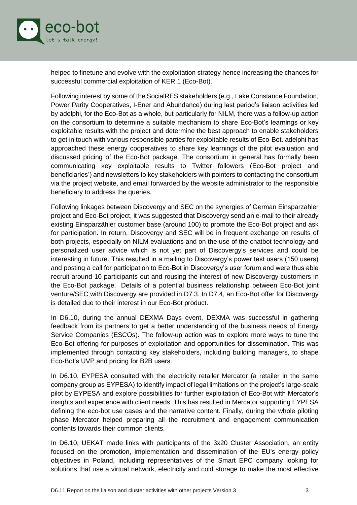

helped to finetune and evolve with the exploitation strategy hence increasing the chances for successful commercial exploitation of KER 1 (Eco-Bot).

Following interest by some of the SocialRES stakeholders (e.g., Lake Constance Foundation, Power Parity Cooperatives, I-Ener and Abundance) during last period's liaison activities led by adelphi, for the Eco-Bot as a whole, but particularly for NILM, there was a follow-up action on the consortium to determine a suitable mechanism to share Eco-Bot's learnings or key exploitable results with the project and determine the best approach to enable stakeholders to get in touch with various responsible parties for exploitable results of Eco-Bot. adelphi has approached these energy cooperatives to share key learnings of the pilot evaluation and discussed pricing of the Eco-Bot package. The consortium in general has formally been communicating key exploitable results to Twitter followers (Eco-Bot project and beneficiaries') and newsletters to key stakeholders with pointers to contacting the consortium via the project website, and email forwarded by the website administrator to the responsible beneficiary to address the queries.

Following linkages between Discovergy and SEC on the synergies of German Einsparzahler project and Eco-Bot project, it was suggested that Discovergy send an e-mail to their already existing Einsparzähler customer base (around 100) to promote the Eco-Bot project and ask for participation. In return, Discovergy and SEC will be in frequent exchange on results of both projects, especially on NILM evaluations and on the use of the chatbot technology and personalized user advice which is not yet part of Discovergy's services and could be interesting in future. This resulted in a mailing to Discovergy's power test users (150 users) and posting a call for participation to Eco-Bot in Discovergy's user forum and were thus able recruit around 10 participants out and rousing the interest of new Discovergy customers in the Eco-Bot package. Details of a potential business relationship between Eco-Bot joint venture/SEC with Discovergy are provided in D7.3. In D7.4, an Eco-Bot offer for Discovergy is detailed due to their interest in our Eco-Bot product.

In D6.10, during the annual DEXMA Days event, DEXMA was successful in gathering feedback from its partners to get a better understanding of the business needs of Energy Service Companies (ESCOs). The follow-up action was to explore more ways to tune the Eco-Bot offering for purposes of exploitation and opportunities for dissemination. This was implemented through contacting key stakeholders, including building managers, to shape Eco-Bot's UVP and pricing for B2B users.

In D6.10, EYPESA consulted with the electricity retailer Mercator (a retailer in the same company group as EYPESA) to identify impact of legal limitations on the project's large-scale pilot by EYPESA and explore possibilities for further exploitation of Eco-Bot with Mercator's insights and experience with client needs. This has resulted in Mercator supporting EYPESA defining the eco-bot use cases and the narrative content. Finally, during the whole piloting phase Mercator helped preparing all the recruitment and engagement communication contents towards their common clients.

In D6.10, UEKAT made links with participants of the 3x20 Cluster Association, an entity focused on the promotion, implementation and dissemination of the EU's energy policy objectives in Poland, including representatives of the Smart EPC company looking for solutions that use a virtual network, electricity and cold storage to make the most effective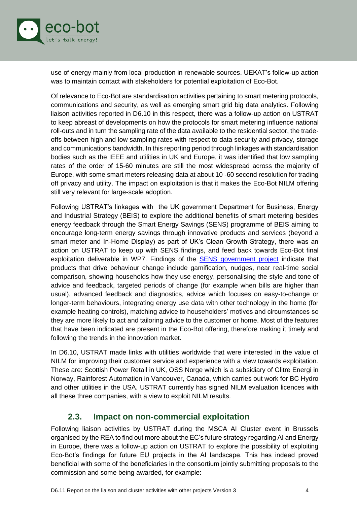

use of energy mainly from local production in renewable sources. UEKAT's follow-up action was to maintain contact with stakeholders for potential exploitation of Eco-Bot.

Of relevance to Eco-Bot are standardisation activities pertaining to smart metering protocols, communications and security, as well as emerging smart grid big data analytics. Following liaison activities reported in D6.10 in this respect, there was a follow-up action on USTRAT to keep abreast of developments on how the protocols for smart metering influence national roll-outs and in turn the sampling rate of the data available to the residential sector, the tradeoffs between high and low sampling rates with respect to data security and privacy, storage and communications bandwidth. In this reporting period through linkages with standardisation bodies such as the IEEE and utilities in UK and Europe, it was identified that low sampling rates of the order of 15-60 minutes are still the most widespread across the majority of Europe, with some smart meters releasing data at about 10 -60 second resolution for trading off privacy and utility. The impact on exploitation is that it makes the Eco-Bot NILM offering still very relevant for large-scale adoption.

Following USTRAT's linkages with the UK government Department for Business, Energy and Industrial Strategy (BEIS) to explore the additional benefits of smart metering besides energy feedback through the Smart Energy Savings (SENS) programme of BEIS aiming to encourage long-term energy savings through innovative products and services (beyond a smart meter and In-Home Display) as part of UK's Clean Growth Strategy, there was an action on USTRAT to keep up with SENS findings, and feed back towards Eco-Bot final exploitation deliverable in WP7. Findings of the [SENS government project](https://www.gov.uk/government/publications/smart-energy-savings-sens-competition/the-smart-energy-savings-sens-innovation-competition-text-of-infographic-explainer) indicate that products that drive behaviour change include gamification, nudges, near real-time social comparison, showing households how they use energy, personalising the style and tone of advice and feedback, targeted periods of change (for example when bills are higher than usual), advanced feedback and diagnostics, advice which focuses on easy-to-change or longer-term behaviours, integrating energy use data with other technology in the home (for example heating controls), matching advice to householders' motives and circumstances so they are more likely to act and tailoring advice to the customer or home. Most of the features that have been indicated are present in the Eco-Bot offering, therefore making it timely and following the trends in the innovation market.

In D6.10, USTRAT made links with utilities worldwide that were interested in the value of NILM for improving their customer service and experience with a view towards exploitation. These are: Scottish Power Retail in UK, OSS Norge which is a subsidiary of Glitre Energi in Norway, Rainforest Automation in Vancouver, Canada, which carries out work for BC Hydro and other utilities in the USA. USTRAT currently has signed NILM evaluation licences with all these three companies, with a view to exploit NILM results.

#### **2.3. Impact on non-commercial exploitation**

<span id="page-8-0"></span>Following liaison activities by USTRAT during the MSCA AI Cluster event in Brussels organised by the REA to find out more about the EC's future strategy regarding AI and Energy in Europe, there was a follow-up action on USTRAT to explore the possibility of exploiting Eco-Bot's findings for future EU projects in the AI landscape. This has indeed proved beneficial with some of the beneficiaries in the consortium jointly submitting proposals to the commission and some being awarded, for example: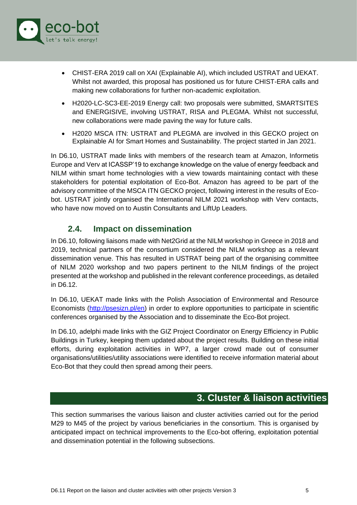

- CHIST-ERA 2019 call on XAI (Explainable AI), which included USTRAT and UEKAT. Whilst not awarded, this proposal has positioned us for future CHIST-ERA calls and making new collaborations for further non-academic exploitation.
- H2020-LC-SC3-EE-2019 Energy call: two proposals were submitted, SMARTSITES and ENERGISIVE, involving USTRAT, RISA and PLEGMA. Whilst not successful, new collaborations were made paving the way for future calls.
- H2020 MSCA ITN: USTRAT and PLEGMA are involved in this GECKO project on Explainable AI for Smart Homes and Sustainability. The project started in Jan 2021.

In D6.10, USTRAT made links with members of the research team at Amazon, Informetis Europe and Verv at ICASSP'19 to exchange knowledge on the value of energy feedback and NILM within smart home technologies with a view towards maintaining contact with these stakeholders for potential exploitation of Eco-Bot. Amazon has agreed to be part of the advisory committee of the MSCA ITN GECKO project, following interest in the results of Ecobot. USTRAT jointly organised the International NILM 2021 workshop with Verv contacts, who have now moved on to Austin Consultants and LiftUp Leaders.

#### **2.4. Impact on dissemination**

<span id="page-9-0"></span>In D6.10, following liaisons made with Net2Grid at the NILM workshop in Greece in 2018 and 2019, technical partners of the consortium considered the NILM workshop as a relevant dissemination venue. This has resulted in USTRAT being part of the organising committee of NILM 2020 workshop and two papers pertinent to the NILM findings of the project presented at the workshop and published in the relevant conference proceedings, as detailed in D6.12.

In D6.10, UEKAT made links with the Polish Association of Environmental and Resource Economists [\(http://psesizn.pl/en\)](http://psesizn.pl/en) in order to explore opportunities to participate in scientific conferences organised by the Association and to disseminate the Eco-Bot project.

In D6.10, adelphi made links with the GIZ Project Coordinator on Energy Efficiency in Public Buildings in Turkey, keeping them updated about the project results. Building on these initial efforts, during exploitation activities in WP7, a larger crowd made out of consumer organisations/utilities/utility associations were identified to receive information material about Eco-Bot that they could then spread among their peers.

#### **3. Cluster & liaison activities**

<span id="page-9-1"></span>This section summarises the various liaison and cluster activities carried out for the period M29 to M45 of the project by various beneficiaries in the consortium. This is organised by anticipated impact on technical improvements to the Eco-bot offering, exploitation potential and dissemination potential in the following subsections.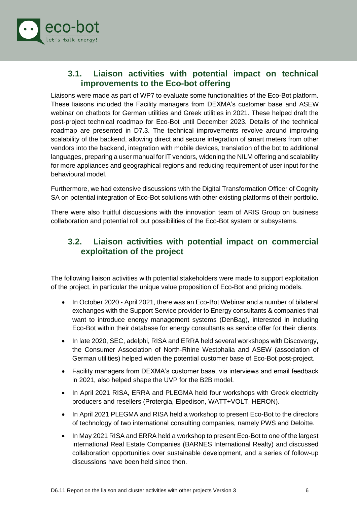

#### <span id="page-10-0"></span>**3.1. Liaison activities with potential impact on technical improvements to the Eco-bot offering**

Liaisons were made as part of WP7 to evaluate some functionalities of the Eco-Bot platform. These liaisons included the Facility managers from DEXMA's customer base and ASEW webinar on chatbots for German utilities and Greek utilities in 2021. These helped draft the post-project technical roadmap for Eco-Bot until December 2023. Details of the technical roadmap are presented in D7.3. The technical improvements revolve around improving scalability of the backend, allowing direct and secure integration of smart meters from other vendors into the backend, integration with mobile devices, translation of the bot to additional languages, preparing a user manual for IT vendors, widening the NILM offering and scalability for more appliances and geographical regions and reducing requirement of user input for the behavioural model.

Furthermore, we had extensive discussions with the Digital Transformation Officer of Cognity SA on potential integration of Eco-Bot solutions with other existing platforms of their portfolio.

There were also fruitful discussions with the innovation team of ARIS Group on business collaboration and potential roll out possibilities of the Eco-Bot system or subsystems.

#### <span id="page-10-1"></span>**3.2. Liaison activities with potential impact on commercial exploitation of the project**

The following liaison activities with potential stakeholders were made to support exploitation of the project, in particular the unique value proposition of Eco-Bot and pricing models.

- In October 2020 April 2021, there was an Eco-Bot Webinar and a number of bilateral exchanges with the Support Service provider to Energy consultants & companies that want to introduce energy management systems (DenBag), interested in including Eco-Bot within their database for energy consultants as service offer for their clients.
- In late 2020, SEC, adelphi, RISA and ERRA held several workshops with Discovergy, the Consumer Association of North-Rhine Westphalia and ASEW (association of German utilities) helped widen the potential customer base of Eco-Bot post-project.
- Facility managers from DEXMA's customer base, via interviews and email feedback in 2021, also helped shape the UVP for the B2B model.
- In April 2021 RISA, ERRA and PLEGMA held four workshops with Greek electricity producers and resellers (Protergia, Elpedison, WATT+VOLT, HERON).
- In April 2021 PLEGMA and RISA held a workshop to present Eco-Bot to the directors of technology of two international consulting companies, namely PWS and Deloitte.
- In May 2021 RISA and ERRA held a workshop to present Eco-Bot to one of the largest international Real Estate Companies (BARNES International Realty) and discussed collaboration opportunities over sustainable development, and a series of follow-up discussions have been held since then.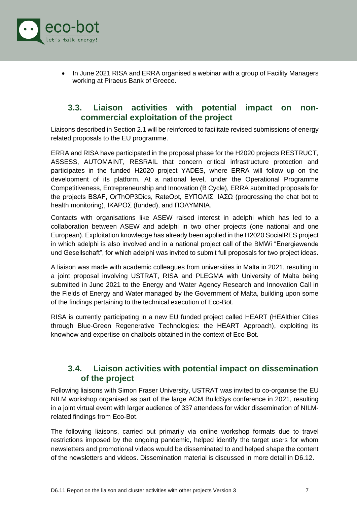

• In June 2021 RISA and ERRA organised a webinar with a group of Facility Managers working at Piraeus Bank of Greece.

#### <span id="page-11-0"></span>**3.3. Liaison activities with potential impact on noncommercial exploitation of the project**

Liaisons described in Section 2.1 will be reinforced to facilitate revised submissions of energy related proposals to the EU programme.

ERRA and RISA have participated in the proposal phase for the H2020 projects RESTRUCT, ASSESS, AUTOMAINT, RESRAIL that concern critical infrastructure protection and participates in the funded H2020 project YADES, where ERRA will follow up on the development of its platform. At a national level, under the Operational Programme Competitiveness, Entrepreneurship and Innovation (B Cycle), ERRA submitted proposals for the projects BSAF, OrThOP3Dics, RateOpt, ΕΥΠΟΛΙΣ, ΙΑΣΩ (progressing the chat bot to health monitoring), ΙΚΑΡΟΣ (funded), and ΠΟΛΥΜΝΙΑ.

Contacts with organisations like ASEW raised interest in adelphi which has led to a collaboration between ASEW and adelphi in two other projects (one national and one European). Exploitation knowledge has already been applied in the H2020 SocialRES project in which adelphi is also involved and in a national project call of the BMWi "Energiewende und Gesellschaft", for which adelphi was invited to submit full proposals for two project ideas.

A liaison was made with academic colleagues from universities in Malta in 2021, resulting in a joint proposal involving USTRAT, RISA and PLEGMA with University of Malta being submitted in June 2021 to the Energy and Water Agency Research and Innovation Call in the Fields of Energy and Water managed by the Government of Malta, building upon some of the findings pertaining to the technical execution of Eco-Bot.

RISA is currently participating in a new EU funded project called HEART (HEAlthier Cities through Blue-Green Regenerative Technologies: the HEART Approach), exploiting its knowhow and expertise on chatbots obtained in the context of Eco-Bot.

#### <span id="page-11-1"></span>**3.4. Liaison activities with potential impact on dissemination of the project**

Following liaisons with Simon Fraser University, USTRAT was invited to co-organise the EU NILM workshop organised as part of the large ACM BuildSys conference in 2021, resulting in a joint virtual event with larger audience of 337 attendees for wider dissemination of NILMrelated findings from Eco-Bot.

The following liaisons, carried out primarily via online workshop formats due to travel restrictions imposed by the ongoing pandemic, helped identify the target users for whom newsletters and promotional videos would be disseminated to and helped shape the content of the newsletters and videos. Dissemination material is discussed in more detail in D6.12.